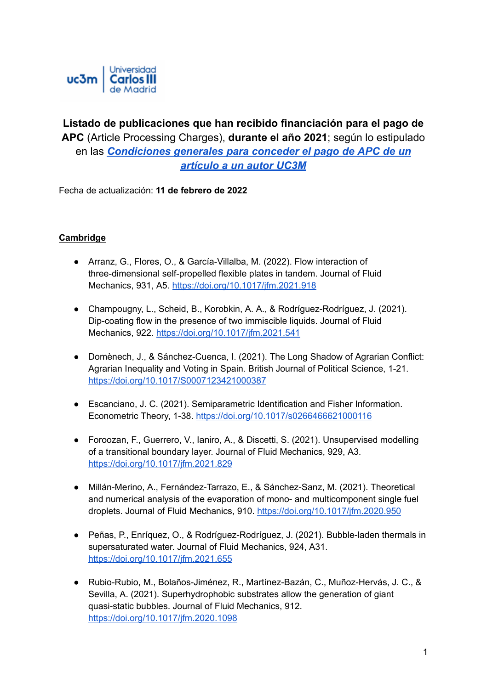

# **Listado de publicaciones que han recibido financiación para el pago de APC** (Article Processing Charges), **durante el año 2021**; según lo estipulado en las *[Condiciones](https://www.uc3m.es/ss/Satellite/Biblioteca/es/TextoMixta/1371303811107/) generales para conceder el pago de APC de un [artículo](https://www.uc3m.es/ss/Satellite/Biblioteca/es/TextoMixta/1371303811107/) a un autor UC3M*

Fecha de actualización: **11 de febrero de 2022**

## **Cambridge**

- Arranz, G., Flores, O., & García-Villalba, M. (2022). Flow interaction of three-dimensional self-propelled flexible plates in tandem. Journal of Fluid Mechanics, 931, A5. <https://doi.org/10.1017/jfm.2021.918>
- Champougny, L., Scheid, B., Korobkin, A. A., & Rodríguez-Rodríguez, J. (2021). Dip-coating flow in the presence of two immiscible liquids. Journal of Fluid Mechanics, 922. <https://doi.org/10.1017/jfm.2021.541>
- Domènech, J., & Sánchez-Cuenca, I. (2021). The Long Shadow of Agrarian Conflict: Agrarian Inequality and Voting in Spain. British Journal of Political Science, 1-21. <https://doi.org/10.1017/S0007123421000387>
- Escanciano, J. C. (2021). Semiparametric Identification and Fisher Information. Econometric Theory, 1-38. <https://doi.org/10.1017/s0266466621000116>
- Foroozan, F., Guerrero, V., Ianiro, A., & Discetti, S. (2021). Unsupervised modelling of a transitional boundary layer. Journal of Fluid Mechanics, 929, A3. <https://doi.org/10.1017/jfm.2021.829>
- Millán-Merino, A., Fernández-Tarrazo, E., & Sánchez-Sanz, M. (2021). Theoretical and numerical analysis of the evaporation of mono- and multicomponent single fuel droplets. Journal of Fluid Mechanics, 910. <https://doi.org/10.1017/jfm.2020.950>
- Peñas, P., Enríquez, O., & Rodríguez-Rodríguez, J. (2021). Bubble-laden thermals in supersaturated water. Journal of Fluid Mechanics, 924, A31. <https://doi.org/10.1017/jfm.2021.655>
- Rubio-Rubio, M., Bolaños-Jiménez, R., Martínez-Bazán, C., Muñoz-Hervás, J. C., & Sevilla, A. (2021). Superhydrophobic substrates allow the generation of giant quasi-static bubbles. Journal of Fluid Mechanics, 912. <https://doi.org/10.1017/jfm.2020.1098>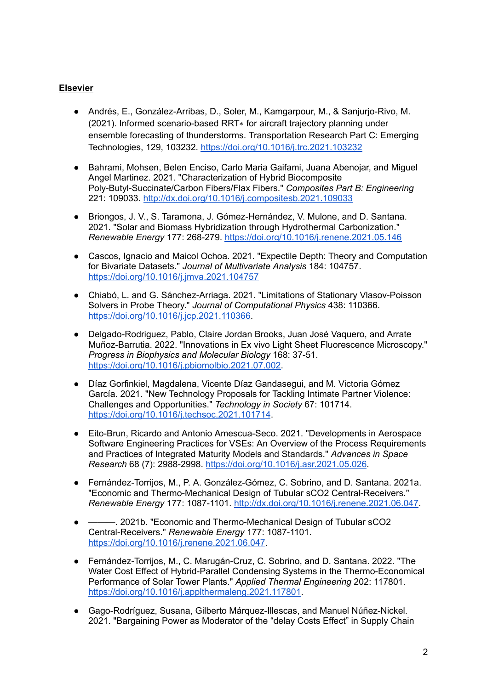## **Elsevier**

- Andrés, E., González-Arribas, D., Soler, M., Kamgarpour, M., & Sanjurjo-Rivo, M. (2021). Informed scenario-based RRT∗ for aircraft trajectory planning under ensemble forecasting of thunderstorms. Transportation Research Part C: Emerging Technologies, 129, 103232. <https://doi.org/10.1016/j.trc.2021.103232>
- Bahrami, Mohsen, Belen Enciso, Carlo Maria Gaifami, Juana Abenojar, and Miguel Angel Martinez. 2021. "Characterization of Hybrid Biocomposite Poly-Butyl-Succinate/Carbon Fibers/Flax Fibers." *Composites Part B: Engineering* 221: 109033. <http://dx.doi.org/10.1016/j.compositesb.2021.109033>
- Briongos, J. V., S. Taramona, J. Gómez-Hernández, V. Mulone, and D. Santana. 2021. "Solar and Biomass Hybridization through Hydrothermal Carbonization." *Renewable Energy* 177: 268-279. <https://doi.org/10.1016/j.renene.2021.05.146>
- Cascos, Ignacio and Maicol Ochoa. 2021. "Expectile Depth: Theory and Computation for Bivariate Datasets." *Journal of Multivariate Analysis* 184: 104757. <https://doi.org/10.1016/j.jmva.2021.104757>
- Chiabó, L. and G. Sánchez-Arriaga. 2021. "Limitations of Stationary Vlasov-Poisson Solvers in Probe Theory." *Journal of Computational Physics* 438: 110366. <https://doi.org/10.1016/j.jcp.2021.110366>.
- Delgado-Rodriguez, Pablo, Claire Jordan Brooks, Juan José Vaquero, and Arrate Muñoz-Barrutia. 2022. "Innovations in Ex vivo Light Sheet Fluorescence Microscopy." *Progress in Biophysics and Molecular Biology* 168: 37-51. <https://doi.org/10.1016/j.pbiomolbio.2021.07.002>.
- Díaz Gorfinkiel, Magdalena, Vicente Díaz Gandasegui, and M. Victoria Gómez García. 2021. "New Technology Proposals for Tackling Intimate Partner Violence: Challenges and Opportunities." *Technology in Society* 67: 101714. <https://doi.org/10.1016/j.techsoc.2021.101714>.
- Eito-Brun, Ricardo and Antonio Amescua-Seco. 2021. "Developments in Aerospace Software Engineering Practices for VSEs: An Overview of the Process Requirements and Practices of Integrated Maturity Models and Standards." *Advances in Space Research* 68 (7): 2988-2998. <https://doi.org/10.1016/j.asr.2021.05.026>.
- Fernández-Torrijos, M., P. A. González-Gómez, C. Sobrino, and D. Santana. 2021a. "Economic and Thermo-Mechanical Design of Tubular sCO2 Central-Receivers." *Renewable Energy* 177: 1087-1101. <http://dx.doi.org/10.1016/j.renene.2021.06.047>.
- -. 2021b. "Economic and Thermo-Mechanical Design of Tubular sCO2 Central-Receivers." *Renewable Energy* 177: 1087-1101. <https://doi.org/10.1016/j.renene.2021.06.047>.
- Fernández-Torrijos, M., C. Marugán-Cruz, C. Sobrino, and D. Santana. 2022. "The Water Cost Effect of Hybrid-Parallel Condensing Systems in the Thermo-Economical Performance of Solar Tower Plants." *Applied Thermal Engineering* 202: 117801. [https://doi.org/10.1016/j.applthermaleng.2021.117801.](https://doi.org/10.1016/j.applthermaleng.2021.117801)
- Gago-Rodríguez, Susana, Gilberto Márquez-Illescas, and Manuel Núñez-Nickel. 2021. "Bargaining Power as Moderator of the "delay Costs Effect" in Supply Chain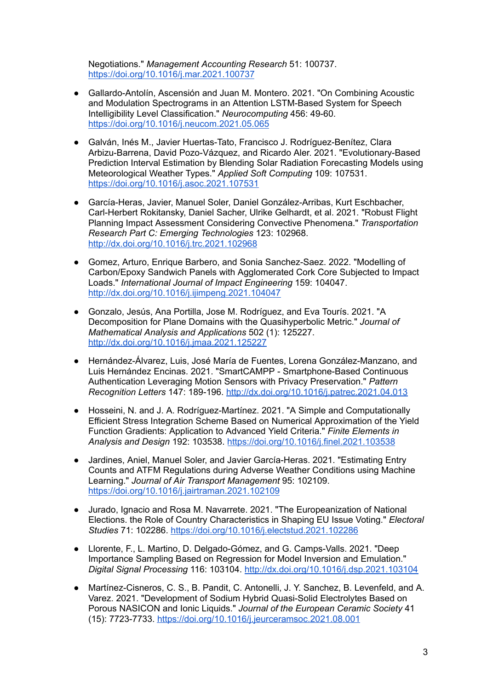Negotiations." *Management Accounting Research* 51: 100737. <https://doi.org/10.1016/j.mar.2021.100737>

- Gallardo-Antolín, Ascensión and Juan M. Montero. 2021. "On Combining Acoustic and Modulation Spectrograms in an Attention LSTM-Based System for Speech Intelligibility Level Classification." *Neurocomputing* 456: 49-60. <https://doi.org/10.1016/j.neucom.2021.05.065>
- Galván, Inés M., Javier Huertas-Tato, Francisco J. Rodríguez-Benítez, Clara Arbizu-Barrena, David Pozo-Vázquez, and Ricardo Aler. 2021. "Evolutionary-Based Prediction Interval Estimation by Blending Solar Radiation Forecasting Models using Meteorological Weather Types." *Applied Soft Computing* 109: 107531. <https://doi.org/10.1016/j.asoc.2021.107531>
- García-Heras, Javier, Manuel Soler, Daniel González-Arribas, Kurt Eschbacher, Carl-Herbert Rokitansky, Daniel Sacher, Ulrike Gelhardt, et al. 2021. "Robust Flight Planning Impact Assessment Considering Convective Phenomena." *Transportation Research Part C: Emerging Technologies* 123: 102968. <http://dx.doi.org/10.1016/j.trc.2021.102968>
- Gomez, Arturo, Enrique Barbero, and Sonia Sanchez-Saez. 2022. "Modelling of Carbon/Epoxy Sandwich Panels with Agglomerated Cork Core Subjected to Impact Loads." *International Journal of Impact Engineering* 159: 104047. <http://dx.doi.org/10.1016/j.ijimpeng.2021.104047>
- Gonzalo, Jesús, Ana Portilla, Jose M. Rodríguez, and Eva Tourís. 2021. "A Decomposition for Plane Domains with the Quasihyperbolic Metric." *Journal of Mathematical Analysis and Applications* 502 (1): 125227. <http://dx.doi.org/10.1016/j.jmaa.2021.125227>
- Hernández-Álvarez, Luis, José María de Fuentes, Lorena González-Manzano, and Luis Hernández Encinas. 2021. "SmartCAMPP - Smartphone-Based Continuous Authentication Leveraging Motion Sensors with Privacy Preservation." *Pattern Recognition Letters* 147: 189-196. <http://dx.doi.org/10.1016/j.patrec.2021.04.013>
- Hosseini, N. and J. A. Rodríguez-Martínez. 2021. "A Simple and Computationally Efficient Stress Integration Scheme Based on Numerical Approximation of the Yield Function Gradients: Application to Advanced Yield Criteria." *Finite Elements in Analysis and Design* 192: 103538. <https://doi.org/10.1016/j.finel.2021.103538>
- Jardines, Aniel, Manuel Soler, and Javier García-Heras. 2021. "Estimating Entry Counts and ATFM Regulations during Adverse Weather Conditions using Machine Learning." *Journal of Air Transport Management* 95: 102109. <https://doi.org/10.1016/j.jairtraman.2021.102109>
- Jurado, Ignacio and Rosa M. Navarrete. 2021. "The Europeanization of National Elections. the Role of Country Characteristics in Shaping EU Issue Voting." *Electoral Studies* 71: 102286. <https://doi.org/10.1016/j.electstud.2021.102286>
- Llorente, F., L. Martino, D. Delgado-Gómez, and G. Camps-Valls. 2021. "Deep Importance Sampling Based on Regression for Model Inversion and Emulation." *Digital Signal Processing* 116: 103104. <http://dx.doi.org/10.1016/j.dsp.2021.103104>
- Martínez-Cisneros, C. S., B. Pandit, C. Antonelli, J. Y. Sanchez, B. Levenfeld, and A. Varez. 2021. "Development of Sodium Hybrid Quasi-Solid Electrolytes Based on Porous NASICON and Ionic Liquids." *Journal of the European Ceramic Society* 41 (15): 7723-7733. <https://doi.org/10.1016/j.jeurceramsoc.2021.08.001>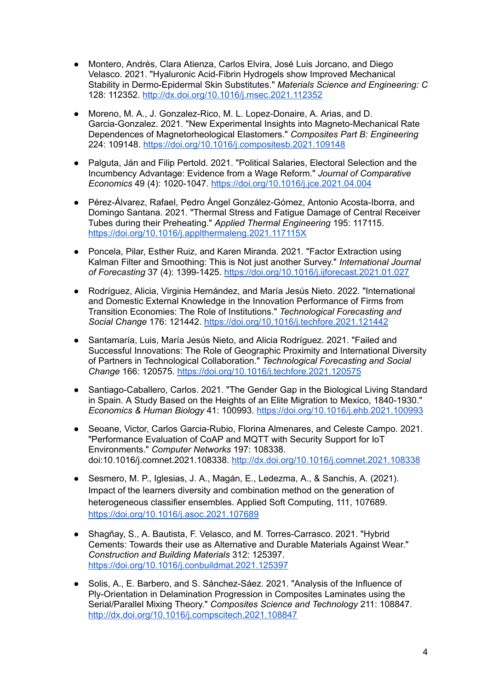- Montero, Andrés, Clara Atienza, Carlos Elvira, José Luis Jorcano, and Diego Velasco. 2021. "Hyaluronic Acid-Fibrin Hydrogels show Improved Mechanical Stability in Dermo-Epidermal Skin Substitutes." *Materials Science and Engineering: C* 128: 112352. <http://dx.doi.org/10.1016/j.msec.2021.112352>
- Moreno, M. A., J. Gonzalez-Rico, M. L. Lopez-Donaire, A. Arias, and D. Garcia-Gonzalez. 2021. "New Experimental Insights into Magneto-Mechanical Rate Dependences of Magnetorheological Elastomers." *Composites Part B: Engineering* 224: 109148. <https://doi.org/10.1016/j.compositesb.2021.109148>
- Palguta, Ján and Filip Pertold, 2021. "Political Salaries, Electoral Selection and the Incumbency Advantage: Evidence from a Wage Reform." *Journal of Comparative Economics* 49 (4): 1020-1047. <https://doi.org/10.1016/j.jce.2021.04.004>
- Pérez-Álvarez, Rafael, Pedro Ángel González-Gómez, Antonio Acosta-Iborra, and Domingo Santana. 2021. "Thermal Stress and Fatigue Damage of Central Receiver Tubes during their Preheating." *Applied Thermal Engineering* 195: 117115. <https://doi.org/10.1016/j.applthermaleng.2021.117115X>
- Poncela, Pilar, Esther Ruiz, and Karen Miranda. 2021. "Factor Extraction using Kalman Filter and Smoothing: This is Not just another Survey." *International Journal of Forecasting* 37 (4): 1399-1425. <https://doi.org/10.1016/j.ijforecast.2021.01.027>
- Rodríguez, Alicia, Virginia Hernández, and María Jesús Nieto. 2022. "International and Domestic External Knowledge in the Innovation Performance of Firms from Transition Economies: The Role of Institutions." *Technological Forecasting and Social Change* 176: 121442. <https://doi.org/10.1016/j.techfore.2021.121442>
- Santamaría, Luis, María Jesús Nieto, and Alicia Rodríguez. 2021. "Failed and Successful Innovations: The Role of Geographic Proximity and International Diversity of Partners in Technological Collaboration." *Technological Forecasting and Social Change* 166: 120575. <https://doi.org/10.1016/j.techfore.2021.120575>
- Santiago-Caballero, Carlos. 2021. "The Gender Gap in the Biological Living Standard in Spain. A Study Based on the Heights of an Elite Migration to Mexico, 1840-1930." *Economics & Human Biology* 41: 100993. <https://doi.org/10.1016/j.ehb.2021.100993>
- Seoane, Victor, Carlos Garcia-Rubio, Florina Almenares, and Celeste Campo. 2021. "Performance Evaluation of CoAP and MQTT with Security Support for IoT Environments." *Computer Networks* 197: 108338. doi:10.1016/j.comnet.2021.108338. <http://dx.doi.org/10.1016/j.comnet.2021.108338>
- Sesmero, M. P., Iglesias, J. A., Magán, E., Ledezma, A., & Sanchis, A. (2021). Impact of the learners diversity and combination method on the generation of heterogeneous classifier ensembles. Applied Soft Computing, 111, 107689. <https://doi.org/10.1016/j.asoc.2021.107689>
- Shagñay, S., A. Bautista, F. Velasco, and M. Torres-Carrasco. 2021. "Hybrid Cements: Towards their use as Alternative and Durable Materials Against Wear." *Construction and Building Materials* 312: 125397. <https://doi.org/10.1016/j.conbuildmat.2021.125397>
- Solis, A., E. Barbero, and S. Sánchez-Sáez. 2021. "Analysis of the Influence of Ply-Orientation in Delamination Progression in Composites Laminates using the Serial/Parallel Mixing Theory." *Composites Science and Technology* 211: 108847. <http://dx.doi.org/10.1016/j.compscitech.2021.108847>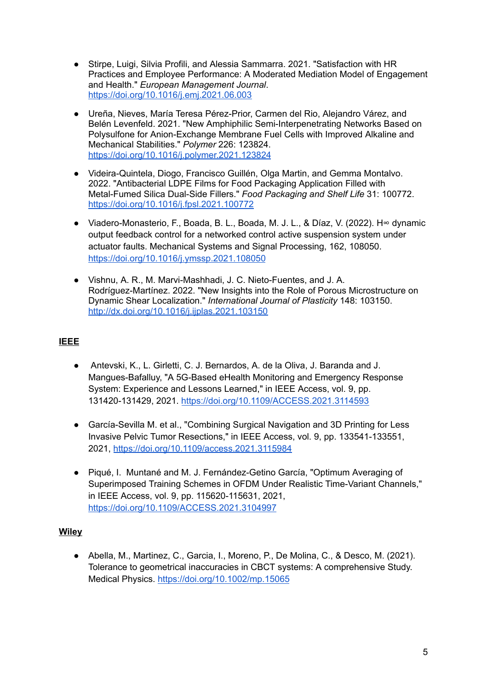- Stirpe, Luigi, Silvia Profili, and Alessia Sammarra. 2021. "Satisfaction with HR Practices and Employee Performance: A Moderated Mediation Model of Engagement and Health." *European Management Journal*. <https://doi.org/10.1016/j.emj.2021.06.003>
- Ureña, Nieves, María Teresa Pérez-Prior, Carmen del Rio, Alejandro Várez, and Belén Levenfeld. 2021. "New Amphiphilic Semi-Interpenetrating Networks Based on Polysulfone for Anion-Exchange Membrane Fuel Cells with Improved Alkaline and Mechanical Stabilities." *Polymer* 226: 123824. <https://doi.org/10.1016/j.polymer.2021.123824>
- Videira-Quintela, Diogo, Francisco Guillén, Olga Martin, and Gemma Montalvo. 2022. "Antibacterial LDPE Films for Food Packaging Application Filled with Metal-Fumed Silica Dual-Side Fillers." *Food Packaging and Shelf Life* 31: 100772. <https://doi.org/10.1016/j.fpsl.2021.100772>
- Viadero-Monasterio, F., Boada, B. L., Boada, M. J. L., & Díaz, V. (2022). H∞ dynamic output feedback control for a networked control active suspension system under actuator faults. Mechanical Systems and Signal Processing, 162, 108050. <https://doi.org/10.1016/j.ymssp.2021.108050>
- Vishnu, A. R., M. Marvi-Mashhadi, J. C. Nieto-Fuentes, and J. A. Rodríguez-Martínez. 2022. "New Insights into the Role of Porous Microstructure on Dynamic Shear Localization." *International Journal of Plasticity* 148: 103150. <http://dx.doi.org/10.1016/j.ijplas.2021.103150>

## **IEEE**

- Antevski, K., L. Girletti, C. J. Bernardos, A. de la Oliva, J. Baranda and J. Mangues-Bafalluy, "A 5G-Based eHealth Monitoring and Emergency Response System: Experience and Lessons Learned," in IEEE Access, vol. 9, pp. 131420-131429, 2021. [https://doi.org/](https://doi.org/10.1109/ACCESS.2021.3104997)[10.1109/ACCESS.2021.3114593](https://doi.org/10.1109/ACCESS.2021.3114593)
- García-Sevilla M. et al., "Combining Surgical Navigation and 3D Printing for Less Invasive Pelvic Tumor Resections," in IEEE Access, vol. 9, pp. 133541-133551, 2021, <https://doi.org/10.1109/access.2021.3115984>
- Piqué, I. Muntané and M. J. Fernández-Getino García, "Optimum Averaging of Superimposed Training Schemes in OFDM Under Realistic Time-Variant Channels," in IEEE Access, vol. 9, pp. 115620-115631, 2021, <https://doi.org/10.1109/ACCESS.2021.3104997>

## **Wiley**

● Abella, M., Martinez, C., Garcia, I., Moreno, P., De Molina, C., & Desco, M. (2021). Tolerance to geometrical inaccuracies in CBCT systems: A comprehensive Study. Medical Physics. <https://doi.org/10.1002/mp.15065>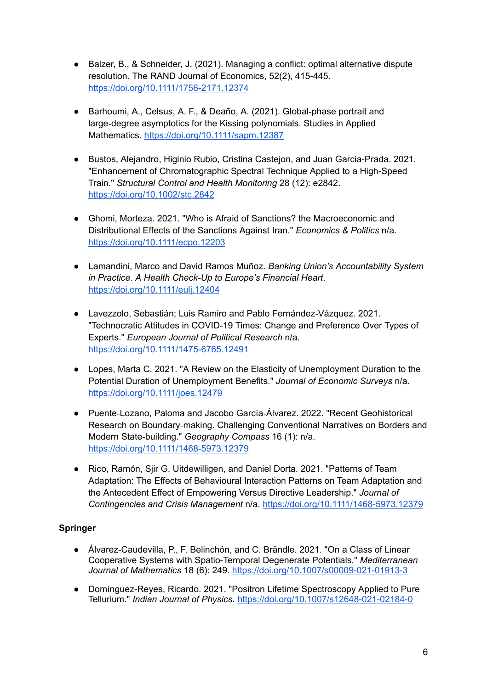- Balzer, B., & Schneider, J. (2021). Managing a conflict: optimal alternative dispute resolution. The RAND Journal of Economics, 52(2), 415-445. <https://doi.org/10.1111/1756-2171.12374>
- Barhoumi, A., Celsus, A. F., & Deaño, A. (2021). Global-phase portrait and large‐degree asymptotics for the Kissing polynomials. Studies in Applied Mathematics. <https://doi.org/10.1111/sapm.12387>
- Bustos, Alejandro, Higinio Rubio, Cristina Castejon, and Juan Garcia-Prada. 2021. "Enhancement of Chromatographic Spectral Technique Applied to a High-Speed Train." *Structural Control and Health Monitoring* 28 (12): e2842. <https://doi.org/10.1002/stc.2842>
- Ghomi, Morteza. 2021. "Who is Afraid of Sanctions? the Macroeconomic and Distributional Effects of the Sanctions Against Iran." *Economics & Politics* n/a. <https://doi.org/10.1111/ecpo.12203>
- Lamandini, Marco and David Ramos Muñoz*. Banking Union's Accountability System in Practice. A Health Check-Up to Europe's Financial Heart*. [https://doi.org/10.1111/eulj.12404](https://doi.org/10.1111/ecpo.12203)
- Lavezzolo, Sebastián; Luis Ramiro and Pablo Fernández-Vázquez. 2021. "Technocratic Attitudes in COVID-19 Times: Change and Preference Over Types of Experts." *European Journal of Political Research* n/a. <https://doi.org/10.1111/1475-6765.12491>
- Lopes, Marta C. 2021. "A Review on the Elasticity of Unemployment Duration to the Potential Duration of Unemployment Benefits." *Journal of Economic Surveys* n/a. <https://doi.org/10.1111/joes.12479>
- Puente-Lozano, Paloma and Jacobo García-Álvarez. 2022. "Recent Geohistorical Research on Boundary‐making. Challenging Conventional Narratives on Borders and Modern State‐building." *Geography Compass* 16 (1): n/a. <https://doi.org/10.1111/1468-5973.12379>
- Rico, Ramón, Sjir G. Uitdewilligen, and Daniel Dorta. 2021. "Patterns of Team Adaptation: The Effects of Behavioural Interaction Patterns on Team Adaptation and the Antecedent Effect of Empowering Versus Directive Leadership." *Journal of Contingencies and Crisis Management* n/a. <https://doi.org/10.1111/1468-5973.12379>

## **Springer**

- Álvarez-Caudevilla, P., F. Belinchón, and C. Brändle. 2021. "On a Class of Linear Cooperative Systems with Spatio-Temporal Degenerate Potentials." *Mediterranean Journal of Mathematics* 18 (6): 249. <https://doi.org/10.1007/s00009-021-01913-3>
- Domínguez-Reyes, Ricardo. 2021. "Positron Lifetime Spectroscopy Applied to Pure Tellurium." *Indian Journal of Physics*. <https://doi.org/10.1007/s12648-021-02184-0>